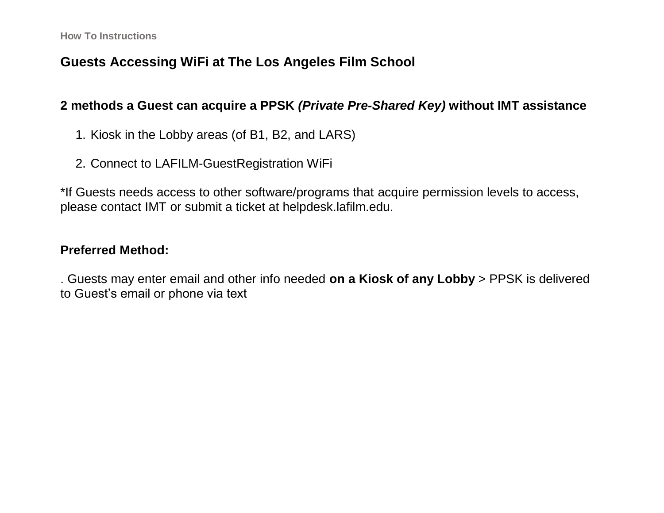## **Guests Accessing WiFi at The Los Angeles Film School**

#### **2 methods a Guest can acquire a PPSK** *(Private Pre-Shared Key)* **without IMT assistance**

- 1. Kiosk in the Lobby areas (of B1, B2, and LARS)
- 2. Connect to LAFILM-GuestRegistration WiFi

\*If Guests needs access to other software/programs that acquire permission levels to access, please contact IMT or submit a ticket at helpdesk.lafilm.edu.

#### **Preferred Method:**

. Guests may enter email and other info needed **on a Kiosk of any Lobby** > PPSK is delivered to Guest's email or phone via text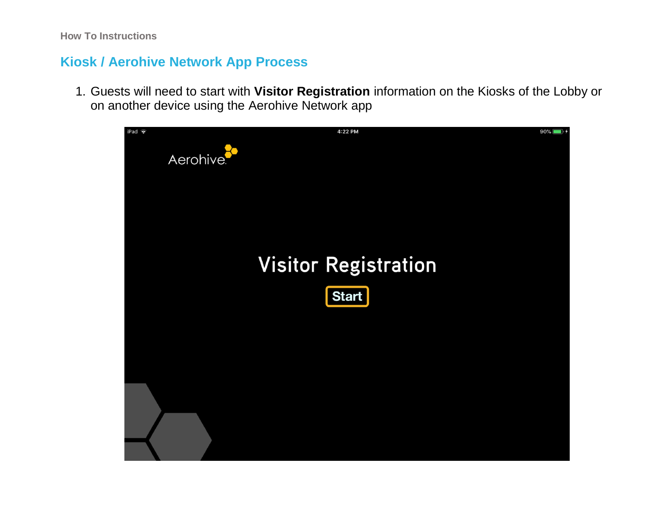### **Kiosk / Aerohive Network App Process**

1. Guests will need to start with **Visitor Registration** information on the Kiosks of the Lobby or on another device using the Aerohive Network app

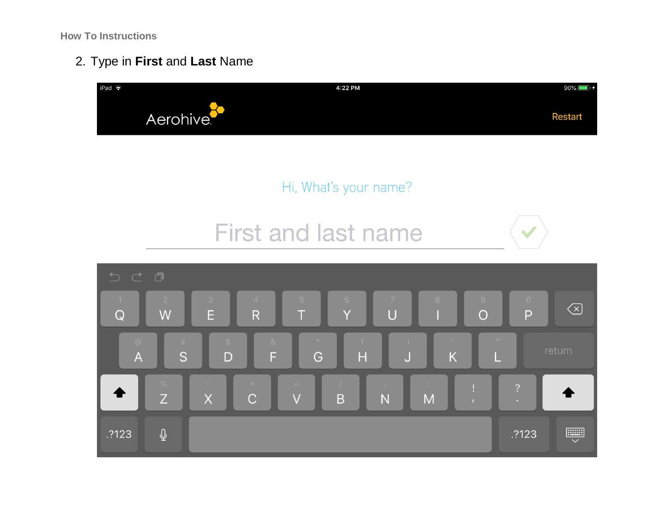2. Type in **First** and **Last** Name







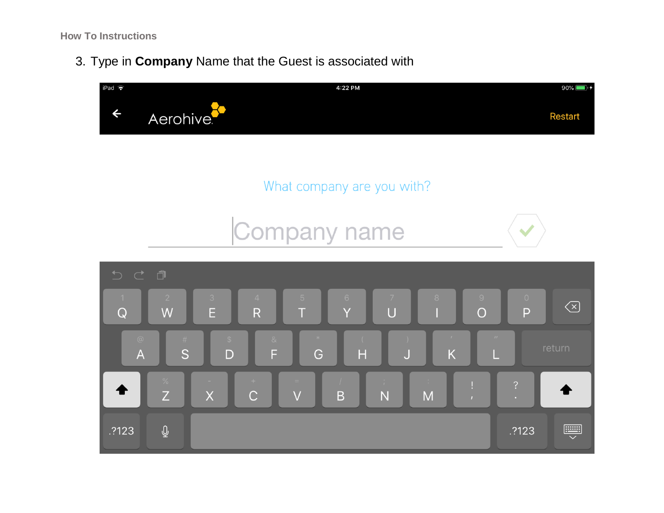3. Type in **Company** Name that the Guest is associated with

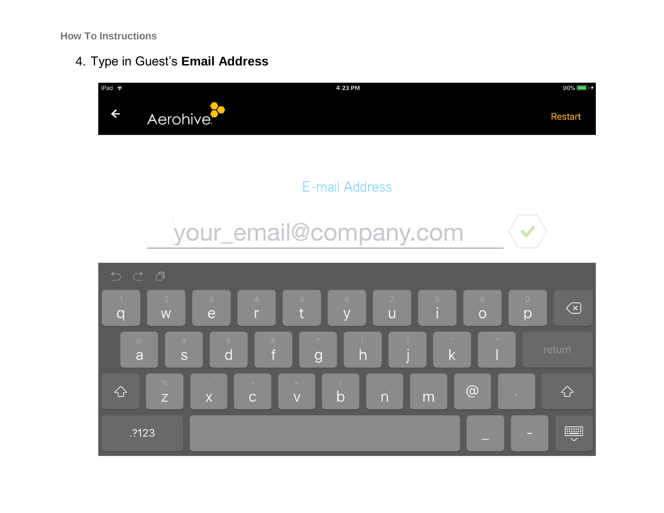4. Type in Guest's **Email Address**







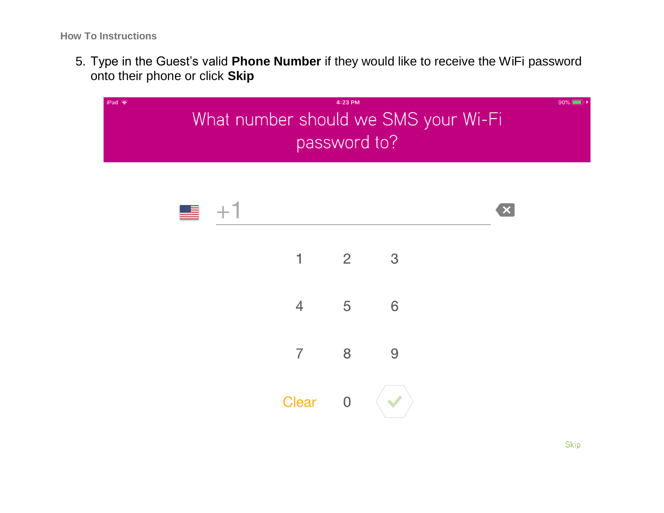5. Type in the Guest's valid **Phone Number** if they would like to receive the WiFi password onto their phone or click **Skip**

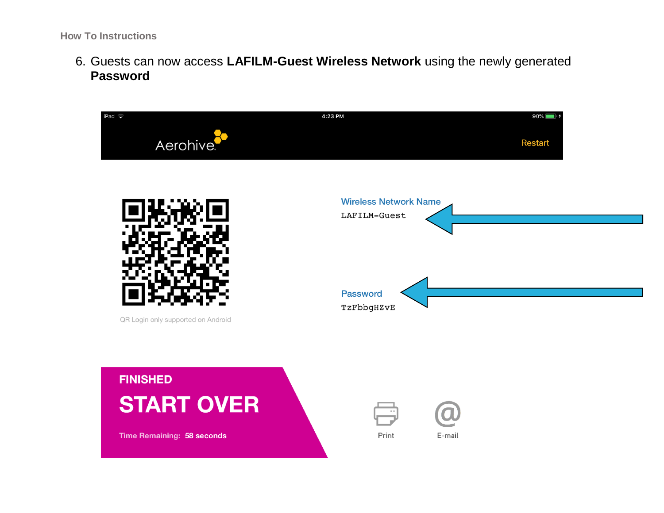6. Guests can now access **LAFILM-Guest Wireless Network** using the newly generated **Password**

| $i$ Pad $\widehat{\bullet}$        | 4:23 PM<br>$90\%$ $\Box$                     |
|------------------------------------|----------------------------------------------|
| Aerohive <sup>®</sup>              | <b>Restart</b>                               |
|                                    | <b>Wireless Network Name</b><br>LAFILM-Guest |
| QR Login only supported on Android | <b>Password</b><br>TzFbbgHZvE                |
| <b>FINISHED</b>                    |                                              |
| <b>START OVER</b>                  |                                              |
| <b>Time Remaining: 58 seconds</b>  | Print<br>E-mail                              |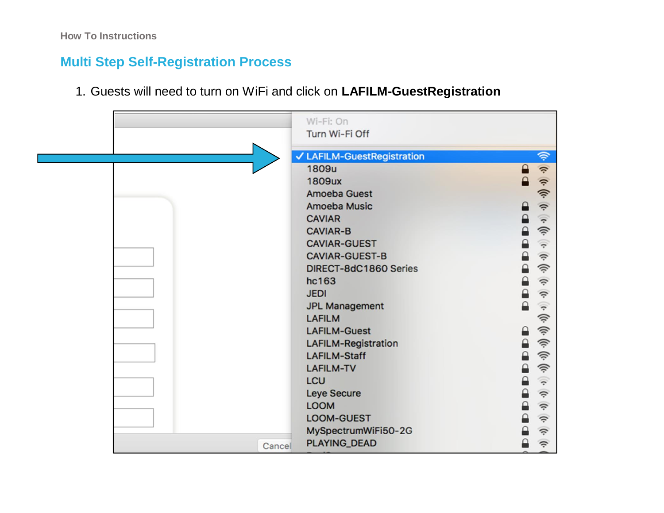# **Multi Step Self-Registration Process**

1. Guests will need to turn on WiFi and click on **LAFILM-GuestRegistration** 

|        | Wi-Fi: On                  |                                               |
|--------|----------------------------|-----------------------------------------------|
|        | Turn Wi-Fi Off             |                                               |
|        | ✔ LAFILM-GuestRegistration | 今                                             |
|        | 1809u                      | $\hat{\mathcal{V}}$<br>$\mathbf{a}$           |
|        | <b>1809ux</b>              | $\mathbf{a}$                                  |
|        | Amoeba Guest               | $\langle \mathbf{t} \cdot \mathbf{t} \rangle$ |
|        | <b>Amoeba Music</b>        | $\hat{\mathcal{V}}$<br>ہ                      |
|        | <b>CAVIAR</b>              | $\widehat{\boldsymbol{\tau}}$<br>$\Theta$     |
|        | <b>CAVIAR-B</b>            | 今<br>₽                                        |
|        | <b>CAVIAR-GUEST</b>        | ₽<br>$\widehat{\boldsymbol{\tau}}$            |
|        | <b>CAVIAR-GUEST-B</b>      | ≙<br>$\hat{\mathfrak{D}}$                     |
|        | DIRECT-8dC1860 Series      | 今<br>$\mathbf{r}$                             |
|        | hc163                      | €<br>$\hat{\mathcal{V}}$                      |
|        | <b>JEDI</b>                | ₽<br>$\hat{\tau}$                             |
|        | <b>JPL Management</b>      | $\mathbf{r}$<br>$\widehat{\cdot}$             |
|        | <b>LAFILM</b>              | $\langle i \rangle$                           |
|        | <b>LAFILM-Guest</b>        | 今<br>ہ                                        |
|        | <b>LAFILM-Registration</b> | 今<br>€                                        |
|        | <b>LAFILM-Staff</b>        | 今<br>₽                                        |
|        | <b>LAFILM-TV</b>           | ③<br>₽                                        |
|        | <b>LCU</b>                 | ₽<br>$\widehat{\tau}$                         |
|        | Leye Secure                | $\mathbf{r}$<br>$\hat{\psi}$                  |
|        | <b>LOOM</b>                | ₽<br>$\hat{\psi}$                             |
|        | LOOM-GUEST                 | $\mathbf{r}$<br>$\hat{\boldsymbol{\psi}}$     |
|        | MySpectrumWiFi50-2G        | €<br>$\hat{\mathcal{V}}$                      |
| Cancel | PLAYING_DEAD               | $\hat{\tau}$<br>≙                             |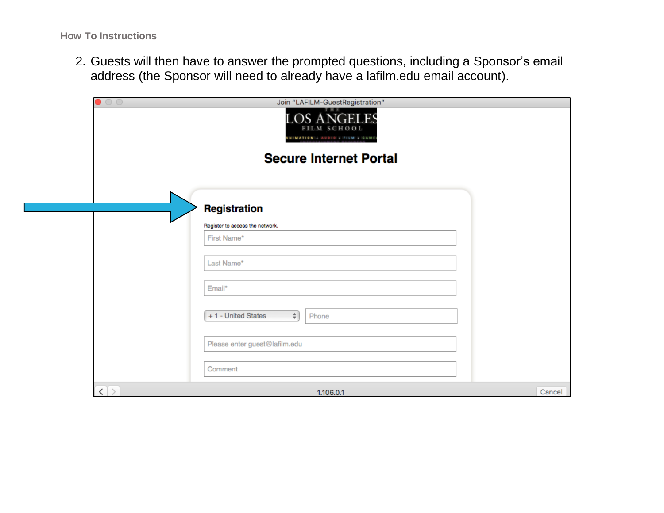2. Guests will then have to answer the prompted questions, including a Sponsor's email address (the Sponsor will need to already have a lafilm.edu email account).

| $\circ$ $\circ$   | Join "LAFILM-GuestRegistration"<br><b>LOS ANGELES</b><br>FILM SCHOOL<br>ANIMATION & AUDIO & FILM & GAME |        |
|-------------------|---------------------------------------------------------------------------------------------------------|--------|
|                   | <b>Secure Internet Portal</b>                                                                           |        |
|                   | Registration<br>Register to access the network.                                                         |        |
|                   | First Name*<br>Last Name*                                                                               |        |
|                   | Email*<br>+1 - United States<br>$\frac{1}{2}$<br>Phone                                                  |        |
|                   | Please enter guest@lafilm.edu                                                                           |        |
| $\langle \rangle$ | Comment<br>1.106.0.1                                                                                    | Cancel |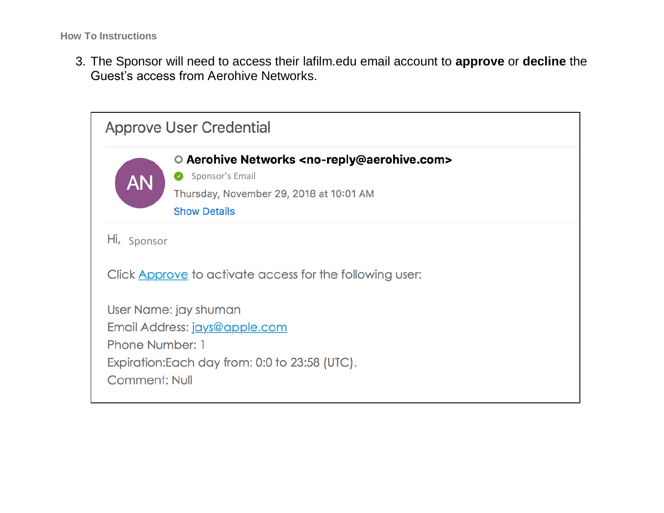3. The Sponsor will need to access their lafilm.edu email account to **approve** or **decline** the Guest's access from Aerohive Networks.

| <b>Approve User Credential</b>                                                                                                                      |                                                                                                                                                                   |  |  |
|-----------------------------------------------------------------------------------------------------------------------------------------------------|-------------------------------------------------------------------------------------------------------------------------------------------------------------------|--|--|
| <b>AN</b>                                                                                                                                           | O Aerohive Networks <no-reply@aerohive.com><br/>Sponsor's Email<br/>Ø<br/>Thursday, November 29, 2018 at 10:01 AM<br/><b>Show Details</b></no-reply@aerohive.com> |  |  |
| Hi, Sponsor                                                                                                                                         |                                                                                                                                                                   |  |  |
| Click Approve to activate access for the following user:                                                                                            |                                                                                                                                                                   |  |  |
| User Name: jay shuman<br>Email Address: jays@apple.com<br>Phone Number: 1<br>Expiration: Each day from: 0:0 to 23:58 (UTC).<br><b>Comment: Null</b> |                                                                                                                                                                   |  |  |